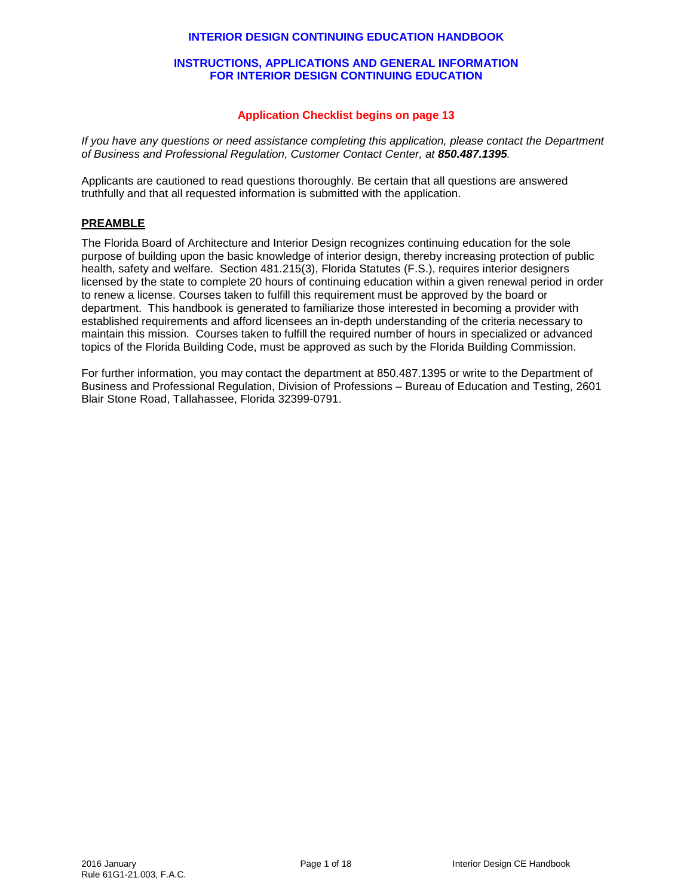## **INTERIOR DESIGN CONTINUING EDUCATION HANDBOOK**

### **INSTRUCTIONS, APPLICATIONS AND GENERAL INFORMATION FOR INTERIOR DESIGN CONTINUING EDUCATION**

## **Application Checklist begins on page 13**

*If you have any questions or need assistance completing this application, please contact the Department of Business and Professional Regulation, Customer Contact Center, at 850.487.1395.*

Applicants are cautioned to read questions thoroughly. Be certain that all questions are answered truthfully and that all requested information is submitted with the application.

## **PREAMBLE**

The Florida Board of Architecture and Interior Design recognizes continuing education for the sole purpose of building upon the basic knowledge of interior design, thereby increasing protection of public health, safety and welfare. Section 481.215(3), Florida Statutes (F.S.), requires interior designers licensed by the state to complete 20 hours of continuing education within a given renewal period in order to renew a license. Courses taken to fulfill this requirement must be approved by the board or department. This handbook is generated to familiarize those interested in becoming a provider with established requirements and afford licensees an in-depth understanding of the criteria necessary to maintain this mission. Courses taken to fulfill the required number of hours in specialized or advanced topics of the Florida Building Code, must be approved as such by the Florida Building Commission.

For further information, you may contact the department at 850.487.1395 or write to the Department of Business and Professional Regulation, Division of Professions – Bureau of Education and Testing, 2601 Blair Stone Road, Tallahassee, Florida 32399-0791.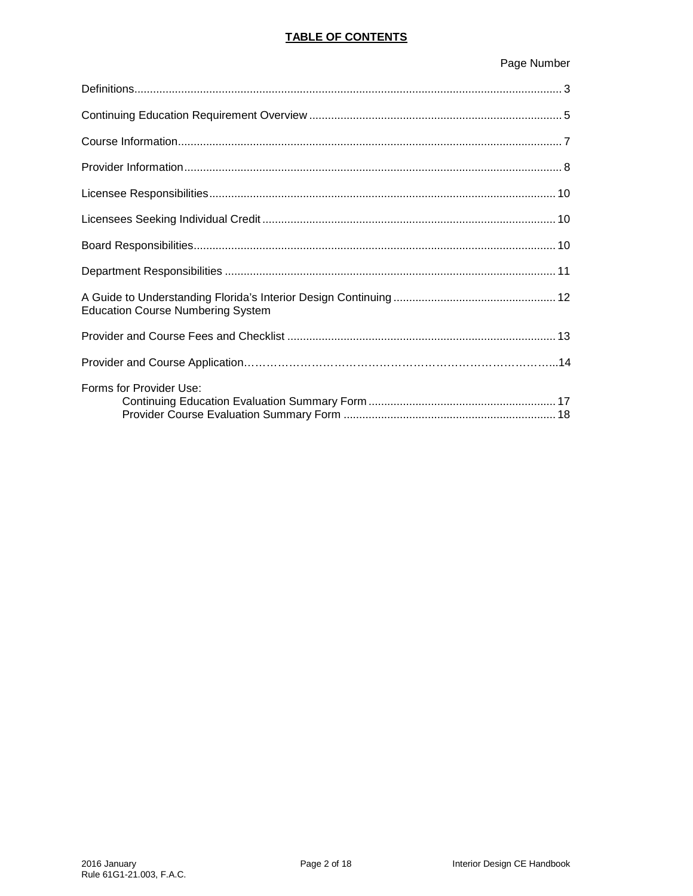# **TABLE OF CONTENTS**

# Page Number

| <b>Education Course Numbering System</b> |  |
|------------------------------------------|--|
|                                          |  |
|                                          |  |
| Forms for Provider Use:                  |  |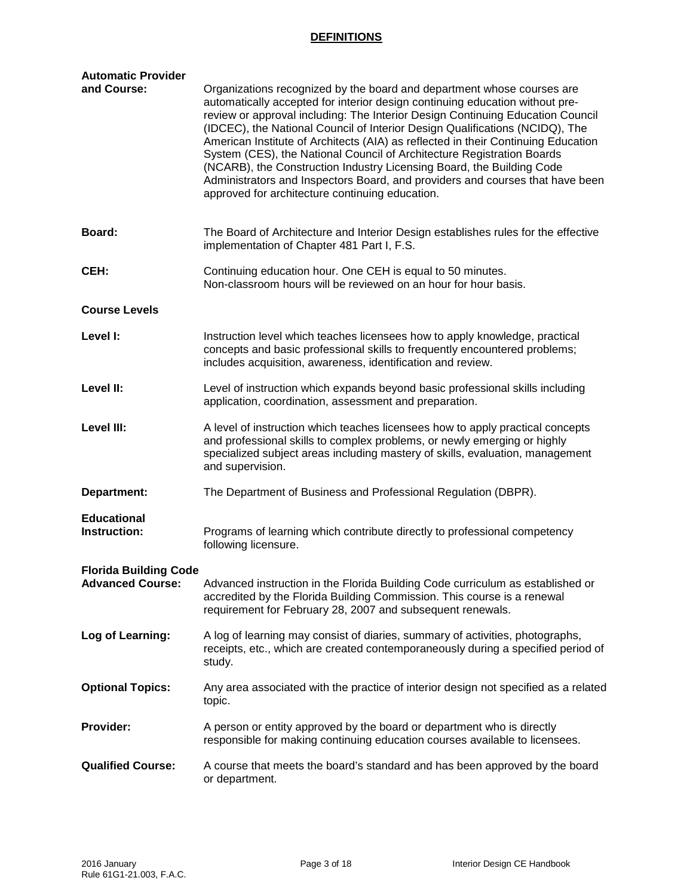## **DEFINITIONS**

| <b>Automatic Provider</b>                               |                                                                                                                                                                                                                                                                                                                                                                                                                                                                                                                                                                                                                                                                                                      |  |  |  |  |  |
|---------------------------------------------------------|------------------------------------------------------------------------------------------------------------------------------------------------------------------------------------------------------------------------------------------------------------------------------------------------------------------------------------------------------------------------------------------------------------------------------------------------------------------------------------------------------------------------------------------------------------------------------------------------------------------------------------------------------------------------------------------------------|--|--|--|--|--|
| and Course:                                             | Organizations recognized by the board and department whose courses are<br>automatically accepted for interior design continuing education without pre-<br>review or approval including: The Interior Design Continuing Education Council<br>(IDCEC), the National Council of Interior Design Qualifications (NCIDQ), The<br>American Institute of Architects (AIA) as reflected in their Continuing Education<br>System (CES), the National Council of Architecture Registration Boards<br>(NCARB), the Construction Industry Licensing Board, the Building Code<br>Administrators and Inspectors Board, and providers and courses that have been<br>approved for architecture continuing education. |  |  |  |  |  |
| Board:                                                  | The Board of Architecture and Interior Design establishes rules for the effective<br>implementation of Chapter 481 Part I, F.S.                                                                                                                                                                                                                                                                                                                                                                                                                                                                                                                                                                      |  |  |  |  |  |
| CEH:                                                    | Continuing education hour. One CEH is equal to 50 minutes.<br>Non-classroom hours will be reviewed on an hour for hour basis.                                                                                                                                                                                                                                                                                                                                                                                                                                                                                                                                                                        |  |  |  |  |  |
| <b>Course Levels</b>                                    |                                                                                                                                                                                                                                                                                                                                                                                                                                                                                                                                                                                                                                                                                                      |  |  |  |  |  |
| Level I:                                                | Instruction level which teaches licensees how to apply knowledge, practical<br>concepts and basic professional skills to frequently encountered problems;<br>includes acquisition, awareness, identification and review.                                                                                                                                                                                                                                                                                                                                                                                                                                                                             |  |  |  |  |  |
| Level II:                                               | Level of instruction which expands beyond basic professional skills including<br>application, coordination, assessment and preparation.                                                                                                                                                                                                                                                                                                                                                                                                                                                                                                                                                              |  |  |  |  |  |
| Level III:                                              | A level of instruction which teaches licensees how to apply practical concepts<br>and professional skills to complex problems, or newly emerging or highly<br>specialized subject areas including mastery of skills, evaluation, management<br>and supervision.                                                                                                                                                                                                                                                                                                                                                                                                                                      |  |  |  |  |  |
| Department:                                             | The Department of Business and Professional Regulation (DBPR).                                                                                                                                                                                                                                                                                                                                                                                                                                                                                                                                                                                                                                       |  |  |  |  |  |
| <b>Educational</b><br><b>Instruction:</b>               | Programs of learning which contribute directly to professional competency<br>following licensure.                                                                                                                                                                                                                                                                                                                                                                                                                                                                                                                                                                                                    |  |  |  |  |  |
| <b>Florida Building Code</b><br><b>Advanced Course:</b> | Advanced instruction in the Florida Building Code curriculum as established or<br>accredited by the Florida Building Commission. This course is a renewal<br>requirement for February 28, 2007 and subsequent renewals.                                                                                                                                                                                                                                                                                                                                                                                                                                                                              |  |  |  |  |  |
| Log of Learning:                                        | A log of learning may consist of diaries, summary of activities, photographs,<br>receipts, etc., which are created contemporaneously during a specified period of<br>study.                                                                                                                                                                                                                                                                                                                                                                                                                                                                                                                          |  |  |  |  |  |
| <b>Optional Topics:</b>                                 | Any area associated with the practice of interior design not specified as a related<br>topic.                                                                                                                                                                                                                                                                                                                                                                                                                                                                                                                                                                                                        |  |  |  |  |  |
| <b>Provider:</b>                                        | A person or entity approved by the board or department who is directly<br>responsible for making continuing education courses available to licensees.                                                                                                                                                                                                                                                                                                                                                                                                                                                                                                                                                |  |  |  |  |  |
| <b>Qualified Course:</b>                                | A course that meets the board's standard and has been approved by the board<br>or department.                                                                                                                                                                                                                                                                                                                                                                                                                                                                                                                                                                                                        |  |  |  |  |  |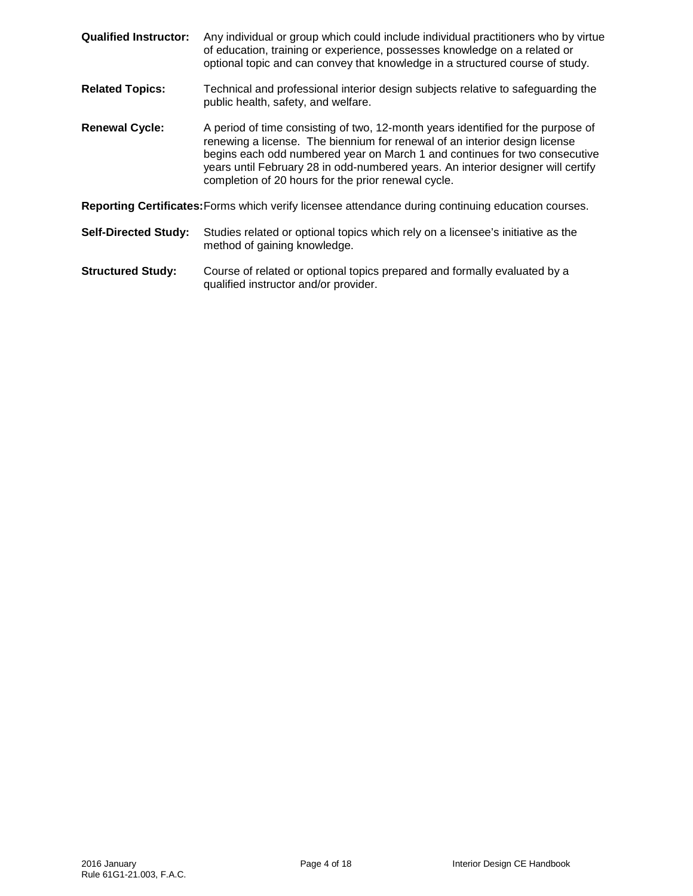- **Qualified Instructor:** Any individual or group which could include individual practitioners who by virtue of education, training or experience, possesses knowledge on a related or optional topic and can convey that knowledge in a structured course of study. **Related Topics:** Technical and professional interior design subjects relative to safeguarding the public health, safety, and welfare. **Renewal Cycle:** A period of time consisting of two, 12-month years identified for the purpose of renewing a license. The biennium for renewal of an interior design license begins each odd numbered year on March 1 and continues for two consecutive years until February 28 in odd-numbered years. An interior designer will certify completion of 20 hours for the prior renewal cycle. **Reporting Certificates:**Forms which verify licensee attendance during continuing education courses. **Self-Directed Study:** Studies related or optional topics which rely on a licensee's initiative as the method of gaining knowledge.
- **Structured Study:** Course of related or optional topics prepared and formally evaluated by a qualified instructor and/or provider.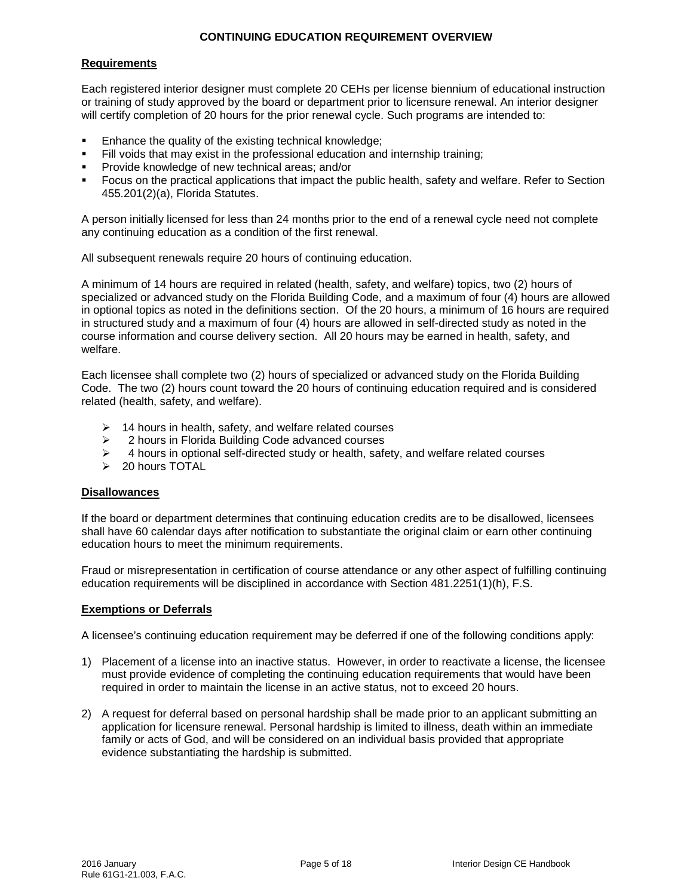## **CONTINUING EDUCATION REQUIREMENT OVERVIEW**

## **Requirements**

Each registered interior designer must complete 20 CEHs per license biennium of educational instruction or training of study approved by the board or department prior to licensure renewal. An interior designer will certify completion of 20 hours for the prior renewal cycle. Such programs are intended to:

- Enhance the quality of the existing technical knowledge;
- Fill voids that may exist in the professional education and internship training;
- Provide knowledge of new technical areas; and/or
- Focus on the practical applications that impact the public health, safety and welfare. Refer to Section 455.201(2)(a), Florida Statutes.

A person initially licensed for less than 24 months prior to the end of a renewal cycle need not complete any continuing education as a condition of the first renewal.

All subsequent renewals require 20 hours of continuing education.

A minimum of 14 hours are required in related (health, safety, and welfare) topics, two (2) hours of specialized or advanced study on the Florida Building Code, and a maximum of four (4) hours are allowed in optional topics as noted in the definitions section. Of the 20 hours, a minimum of 16 hours are required in structured study and a maximum of four (4) hours are allowed in self-directed study as noted in the course information and course delivery section. All 20 hours may be earned in health, safety, and welfare.

Each licensee shall complete two (2) hours of specialized or advanced study on the Florida Building Code. The two (2) hours count toward the 20 hours of continuing education required and is considered related (health, safety, and welfare).

- $\geq$  14 hours in health, safety, and welfare related courses
- 2 hours in Florida Building Code advanced courses
- $\geq$  4 hours in optional self-directed study or health, safety, and welfare related courses
- > 20 hours TOTAL

### **Disallowances**

If the board or department determines that continuing education credits are to be disallowed, licensees shall have 60 calendar days after notification to substantiate the original claim or earn other continuing education hours to meet the minimum requirements.

Fraud or misrepresentation in certification of course attendance or any other aspect of fulfilling continuing education requirements will be disciplined in accordance with Section 481.2251(1)(h), F.S.

### **Exemptions or Deferrals**

A licensee's continuing education requirement may be deferred if one of the following conditions apply:

- 1) Placement of a license into an inactive status. However, in order to reactivate a license, the licensee must provide evidence of completing the continuing education requirements that would have been required in order to maintain the license in an active status, not to exceed 20 hours.
- 2) A request for deferral based on personal hardship shall be made prior to an applicant submitting an application for licensure renewal. Personal hardship is limited to illness, death within an immediate family or acts of God, and will be considered on an individual basis provided that appropriate evidence substantiating the hardship is submitted.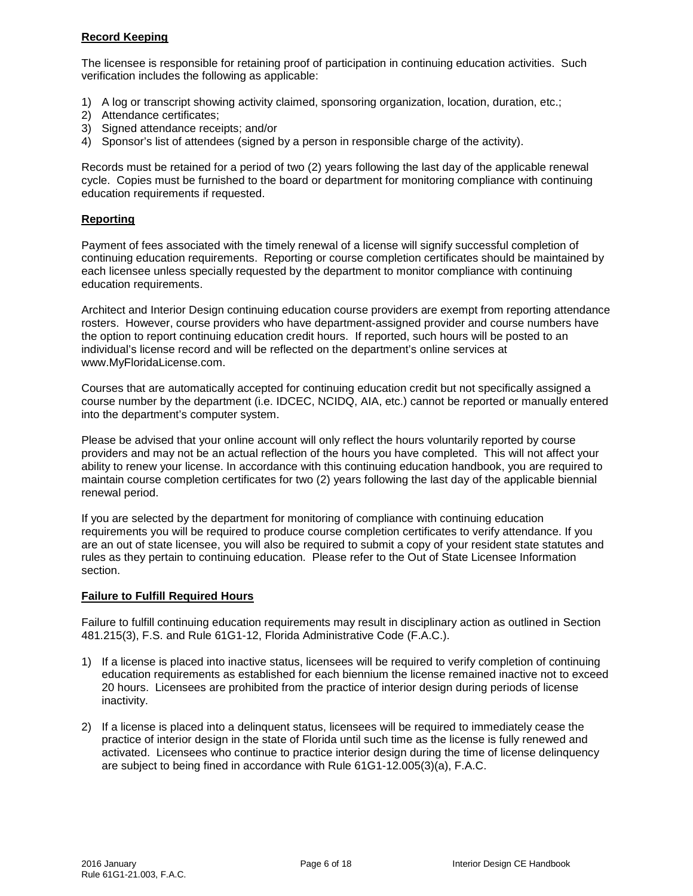## **Record Keeping**

The licensee is responsible for retaining proof of participation in continuing education activities. Such verification includes the following as applicable:

- 1) A log or transcript showing activity claimed, sponsoring organization, location, duration, etc.;
- 2) Attendance certificates;
- 3) Signed attendance receipts; and/or
- 4) Sponsor's list of attendees (signed by a person in responsible charge of the activity).

Records must be retained for a period of two (2) years following the last day of the applicable renewal cycle. Copies must be furnished to the board or department for monitoring compliance with continuing education requirements if requested.

### **Reporting**

Payment of fees associated with the timely renewal of a license will signify successful completion of continuing education requirements. Reporting or course completion certificates should be maintained by each licensee unless specially requested by the department to monitor compliance with continuing education requirements.

Architect and Interior Design continuing education course providers are exempt from reporting attendance rosters. However, course providers who have department-assigned provider and course numbers have the option to report continuing education credit hours. If reported, such hours will be posted to an individual's license record and will be reflected on the department's online services at www.MyFloridaLicense.com.

Courses that are automatically accepted for continuing education credit but not specifically assigned a course number by the department (i.e. IDCEC, NCIDQ, AIA, etc.) cannot be reported or manually entered into the department's computer system.

Please be advised that your online account will only reflect the hours voluntarily reported by course providers and may not be an actual reflection of the hours you have completed. This will not affect your ability to renew your license. In accordance with this continuing education handbook, you are required to maintain course completion certificates for two (2) years following the last day of the applicable biennial renewal period.

If you are selected by the department for monitoring of compliance with continuing education requirements you will be required to produce course completion certificates to verify attendance. If you are an out of state licensee, you will also be required to submit a copy of your resident state statutes and rules as they pertain to continuing education. Please refer to the Out of State Licensee Information section.

### **Failure to Fulfill Required Hours**

Failure to fulfill continuing education requirements may result in disciplinary action as outlined in Section 481.215(3), F.S. and Rule 61G1-12, Florida Administrative Code (F.A.C.).

- 1) If a license is placed into inactive status, licensees will be required to verify completion of continuing education requirements as established for each biennium the license remained inactive not to exceed 20 hours. Licensees are prohibited from the practice of interior design during periods of license inactivity.
- 2) If a license is placed into a delinquent status, licensees will be required to immediately cease the practice of interior design in the state of Florida until such time as the license is fully renewed and activated. Licensees who continue to practice interior design during the time of license delinquency are subject to being fined in accordance with Rule 61G1-12.005(3)(a), F.A.C.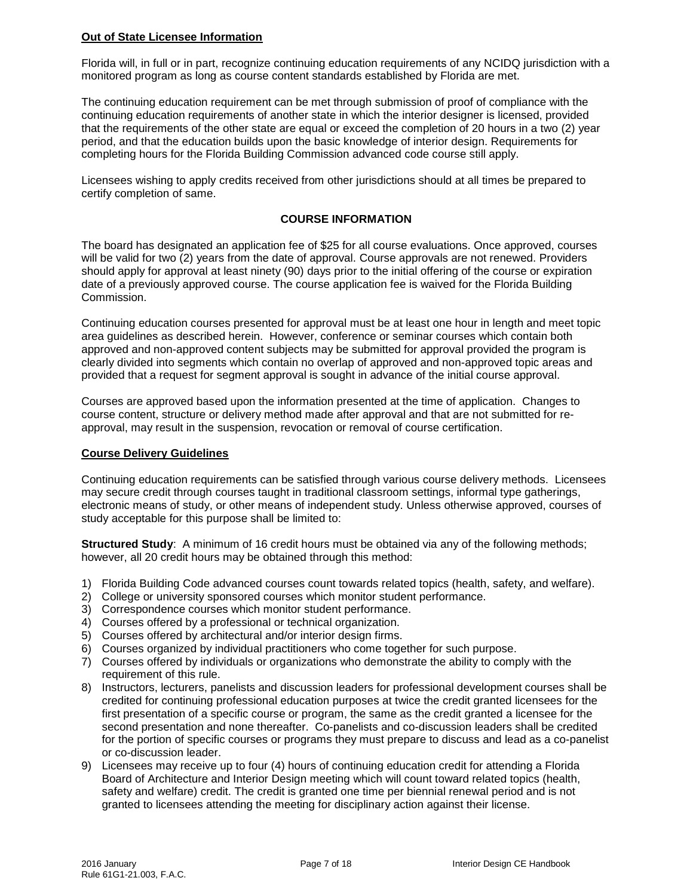## **Out of State Licensee Information**

Florida will, in full or in part, recognize continuing education requirements of any NCIDQ jurisdiction with a monitored program as long as course content standards established by Florida are met.

The continuing education requirement can be met through submission of proof of compliance with the continuing education requirements of another state in which the interior designer is licensed, provided that the requirements of the other state are equal or exceed the completion of 20 hours in a two (2) year period, and that the education builds upon the basic knowledge of interior design. Requirements for completing hours for the Florida Building Commission advanced code course still apply.

Licensees wishing to apply credits received from other jurisdictions should at all times be prepared to certify completion of same.

## **COURSE INFORMATION**

The board has designated an application fee of \$25 for all course evaluations. Once approved, courses will be valid for two (2) years from the date of approval. Course approvals are not renewed. Providers should apply for approval at least ninety (90) days prior to the initial offering of the course or expiration date of a previously approved course. The course application fee is waived for the Florida Building Commission.

Continuing education courses presented for approval must be at least one hour in length and meet topic area guidelines as described herein. However, conference or seminar courses which contain both approved and non-approved content subjects may be submitted for approval provided the program is clearly divided into segments which contain no overlap of approved and non-approved topic areas and provided that a request for segment approval is sought in advance of the initial course approval.

Courses are approved based upon the information presented at the time of application. Changes to course content, structure or delivery method made after approval and that are not submitted for reapproval, may result in the suspension, revocation or removal of course certification.

### **Course Delivery Guidelines**

Continuing education requirements can be satisfied through various course delivery methods. Licensees may secure credit through courses taught in traditional classroom settings, informal type gatherings, electronic means of study, or other means of independent study. Unless otherwise approved, courses of study acceptable for this purpose shall be limited to:

**Structured Study**: A minimum of 16 credit hours must be obtained via any of the following methods; however, all 20 credit hours may be obtained through this method:

- 1) Florida Building Code advanced courses count towards related topics (health, safety, and welfare).
- 2) College or university sponsored courses which monitor student performance.
- 3) Correspondence courses which monitor student performance.
- 4) Courses offered by a professional or technical organization.
- 5) Courses offered by architectural and/or interior design firms.
- 6) Courses organized by individual practitioners who come together for such purpose.
- 7) Courses offered by individuals or organizations who demonstrate the ability to comply with the requirement of this rule.
- 8) Instructors, lecturers, panelists and discussion leaders for professional development courses shall be credited for continuing professional education purposes at twice the credit granted licensees for the first presentation of a specific course or program, the same as the credit granted a licensee for the second presentation and none thereafter. Co-panelists and co-discussion leaders shall be credited for the portion of specific courses or programs they must prepare to discuss and lead as a co-panelist or co-discussion leader.
- 9) Licensees may receive up to four (4) hours of continuing education credit for attending a Florida Board of Architecture and Interior Design meeting which will count toward related topics (health, safety and welfare) credit. The credit is granted one time per biennial renewal period and is not granted to licensees attending the meeting for disciplinary action against their license.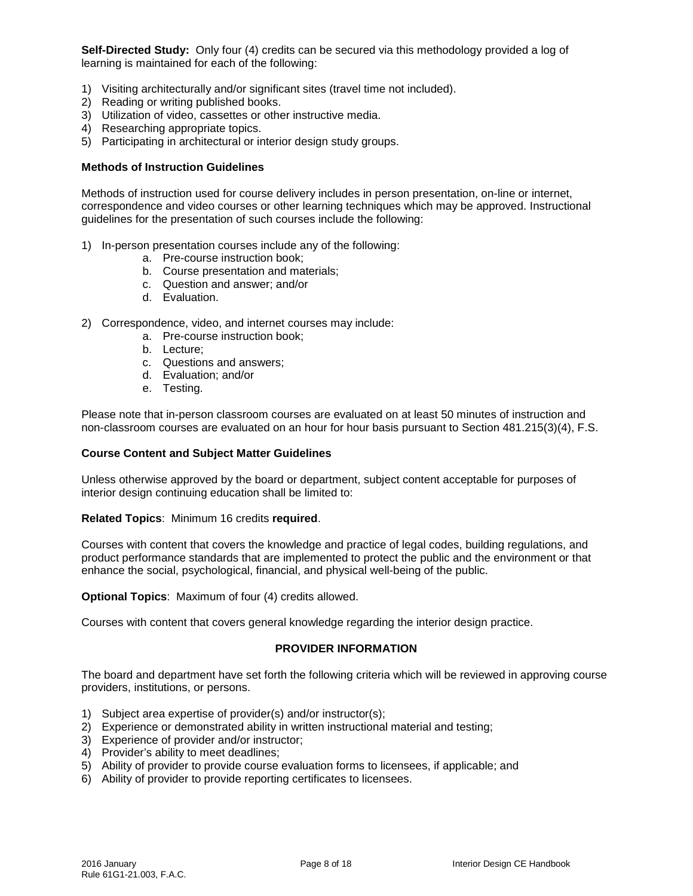**Self-Directed Study:** Only four (4) credits can be secured via this methodology provided a log of learning is maintained for each of the following:

- 1) Visiting architecturally and/or significant sites (travel time not included).
- 2) Reading or writing published books.
- 3) Utilization of video, cassettes or other instructive media.
- 4) Researching appropriate topics.
- 5) Participating in architectural or interior design study groups.

#### **Methods of Instruction Guidelines**

Methods of instruction used for course delivery includes in person presentation, on-line or internet, correspondence and video courses or other learning techniques which may be approved. Instructional guidelines for the presentation of such courses include the following:

- 1) In-person presentation courses include any of the following:
	- a. Pre-course instruction book;
	- b. Course presentation and materials;
	- c. Question and answer; and/or
	- d. Evaluation.
- 2) Correspondence, video, and internet courses may include:
	- a. Pre-course instruction book;
	- b. Lecture;
	- c. Questions and answers;
	- d. Evaluation; and/or
	- e. Testing.

Please note that in-person classroom courses are evaluated on at least 50 minutes of instruction and non-classroom courses are evaluated on an hour for hour basis pursuant to Section 481.215(3)(4), F.S.

#### **Course Content and Subject Matter Guidelines**

Unless otherwise approved by the board or department, subject content acceptable for purposes of interior design continuing education shall be limited to:

#### **Related Topics**: Minimum 16 credits **required**.

Courses with content that covers the knowledge and practice of legal codes, building regulations, and product performance standards that are implemented to protect the public and the environment or that enhance the social, psychological, financial, and physical well-being of the public.

**Optional Topics**: Maximum of four (4) credits allowed.

Courses with content that covers general knowledge regarding the interior design practice.

### **PROVIDER INFORMATION**

The board and department have set forth the following criteria which will be reviewed in approving course providers, institutions, or persons.

- 1) Subject area expertise of provider(s) and/or instructor(s);
- 2) Experience or demonstrated ability in written instructional material and testing;
- 3) Experience of provider and/or instructor;
- 4) Provider's ability to meet deadlines;
- 5) Ability of provider to provide course evaluation forms to licensees, if applicable; and
- 6) Ability of provider to provide reporting certificates to licensees.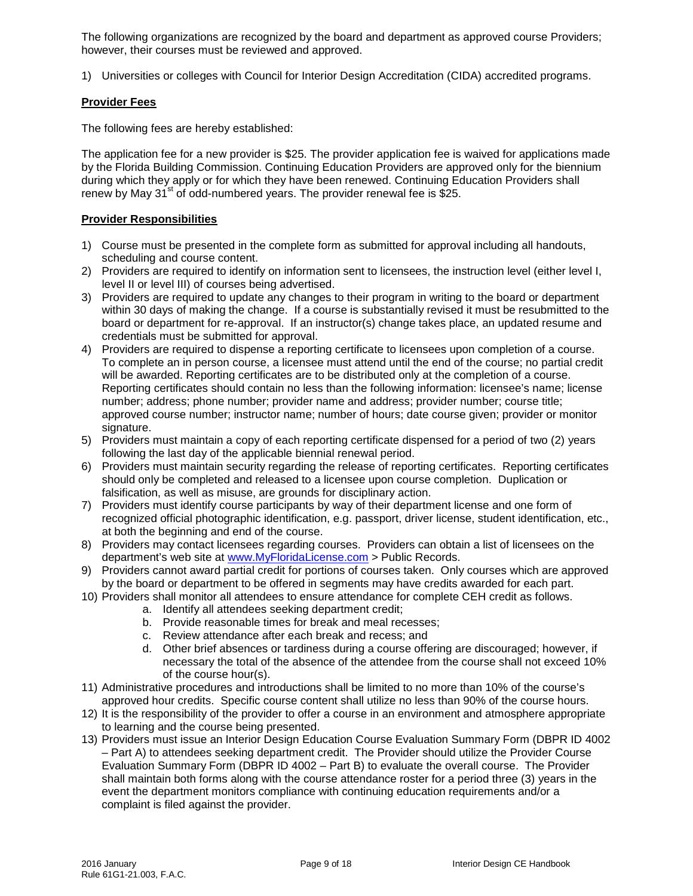The following organizations are recognized by the board and department as approved course Providers; however, their courses must be reviewed and approved.

1) Universities or colleges with Council for Interior Design Accreditation (CIDA) accredited programs.

## **Provider Fees**

The following fees are hereby established:

The application fee for a new provider is \$25. The provider application fee is waived for applications made by the Florida Building Commission. Continuing Education Providers are approved only for the biennium during which they apply or for which they have been renewed. Continuing Education Providers shall renew by May  $31^{st}$  of odd-numbered years. The provider renewal fee is \$25.

## **Provider Responsibilities**

- 1) Course must be presented in the complete form as submitted for approval including all handouts, scheduling and course content.
- 2) Providers are required to identify on information sent to licensees, the instruction level (either level I, level II or level III) of courses being advertised.
- 3) Providers are required to update any changes to their program in writing to the board or department within 30 days of making the change. If a course is substantially revised it must be resubmitted to the board or department for re-approval. If an instructor(s) change takes place, an updated resume and credentials must be submitted for approval.
- 4) Providers are required to dispense a reporting certificate to licensees upon completion of a course. To complete an in person course, a licensee must attend until the end of the course; no partial credit will be awarded. Reporting certificates are to be distributed only at the completion of a course. Reporting certificates should contain no less than the following information: licensee's name; license number; address; phone number; provider name and address; provider number; course title; approved course number; instructor name; number of hours; date course given; provider or monitor signature.
- 5) Providers must maintain a copy of each reporting certificate dispensed for a period of two (2) years following the last day of the applicable biennial renewal period.
- 6) Providers must maintain security regarding the release of reporting certificates. Reporting certificates should only be completed and released to a licensee upon course completion. Duplication or falsification, as well as misuse, are grounds for disciplinary action.
- 7) Providers must identify course participants by way of their department license and one form of recognized official photographic identification, e.g. passport, driver license, student identification, etc., at both the beginning and end of the course.
- 8) Providers may contact licensees regarding courses. Providers can obtain a list of licensees on the department's web site at [www.MyFloridaLicense.com](http://www.myfloridalicense.com/) > Public Records.
- 9) Providers cannot award partial credit for portions of courses taken. Only courses which are approved by the board or department to be offered in segments may have credits awarded for each part.
- 10) Providers shall monitor all attendees to ensure attendance for complete CEH credit as follows.
	- a. Identify all attendees seeking department credit;
		- b. Provide reasonable times for break and meal recesses;
		- c. Review attendance after each break and recess; and
		- d. Other brief absences or tardiness during a course offering are discouraged; however, if necessary the total of the absence of the attendee from the course shall not exceed 10% of the course hour(s).
- 11) Administrative procedures and introductions shall be limited to no more than 10% of the course's approved hour credits. Specific course content shall utilize no less than 90% of the course hours.
- 12) It is the responsibility of the provider to offer a course in an environment and atmosphere appropriate to learning and the course being presented.
- 13) Providers must issue an Interior Design Education Course Evaluation Summary Form (DBPR ID 4002 – Part A) to attendees seeking department credit. The Provider should utilize the Provider Course Evaluation Summary Form (DBPR ID 4002 – Part B) to evaluate the overall course. The Provider shall maintain both forms along with the course attendance roster for a period three (3) years in the event the department monitors compliance with continuing education requirements and/or a complaint is filed against the provider.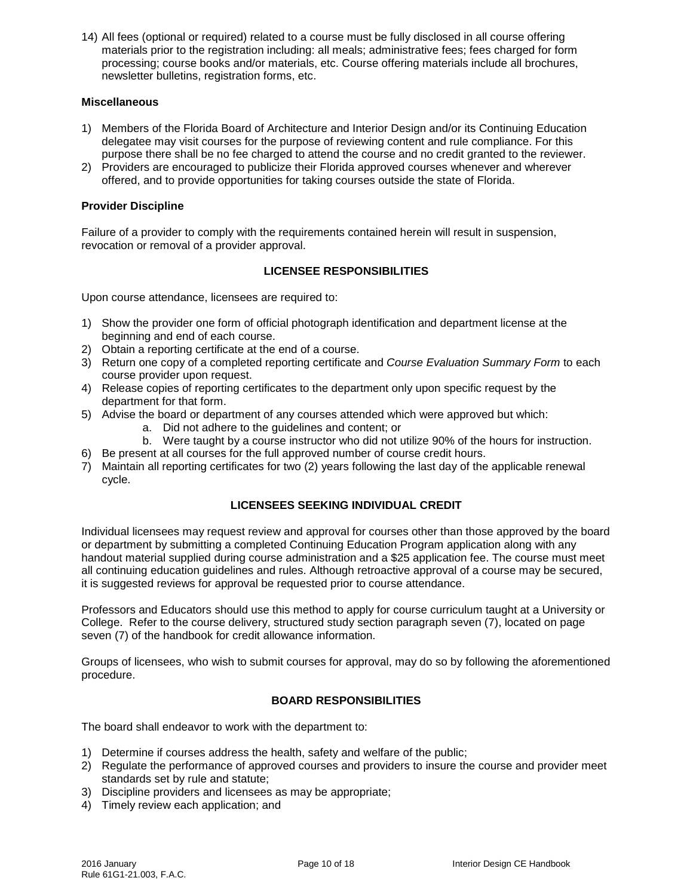14) All fees (optional or required) related to a course must be fully disclosed in all course offering materials prior to the registration including: all meals; administrative fees; fees charged for form processing; course books and/or materials, etc. Course offering materials include all brochures, newsletter bulletins, registration forms, etc.

## **Miscellaneous**

- 1) Members of the Florida Board of Architecture and Interior Design and/or its Continuing Education delegatee may visit courses for the purpose of reviewing content and rule compliance. For this purpose there shall be no fee charged to attend the course and no credit granted to the reviewer.
- 2) Providers are encouraged to publicize their Florida approved courses whenever and wherever offered, and to provide opportunities for taking courses outside the state of Florida.

### **Provider Discipline**

Failure of a provider to comply with the requirements contained herein will result in suspension, revocation or removal of a provider approval.

## **LICENSEE RESPONSIBILITIES**

Upon course attendance, licensees are required to:

- 1) Show the provider one form of official photograph identification and department license at the beginning and end of each course.
- 2) Obtain a reporting certificate at the end of a course.
- 3) Return one copy of a completed reporting certificate and *Course Evaluation Summary Form* to each course provider upon request.
- 4) Release copies of reporting certificates to the department only upon specific request by the department for that form.
- 5) Advise the board or department of any courses attended which were approved but which:
	- a. Did not adhere to the guidelines and content; or
	- b. Were taught by a course instructor who did not utilize 90% of the hours for instruction.
- 6) Be present at all courses for the full approved number of course credit hours.
- 7) Maintain all reporting certificates for two (2) years following the last day of the applicable renewal cycle.

### **LICENSEES SEEKING INDIVIDUAL CREDIT**

Individual licensees may request review and approval for courses other than those approved by the board or department by submitting a completed Continuing Education Program application along with any handout material supplied during course administration and a \$25 application fee. The course must meet all continuing education guidelines and rules. Although retroactive approval of a course may be secured, it is suggested reviews for approval be requested prior to course attendance.

Professors and Educators should use this method to apply for course curriculum taught at a University or College. Refer to the course delivery, structured study section paragraph seven (7), located on page seven (7) of the handbook for credit allowance information.

Groups of licensees, who wish to submit courses for approval, may do so by following the aforementioned procedure.

### **BOARD RESPONSIBILITIES**

The board shall endeavor to work with the department to:

- 1) Determine if courses address the health, safety and welfare of the public;
- 2) Regulate the performance of approved courses and providers to insure the course and provider meet standards set by rule and statute;
- 3) Discipline providers and licensees as may be appropriate;
- 4) Timely review each application; and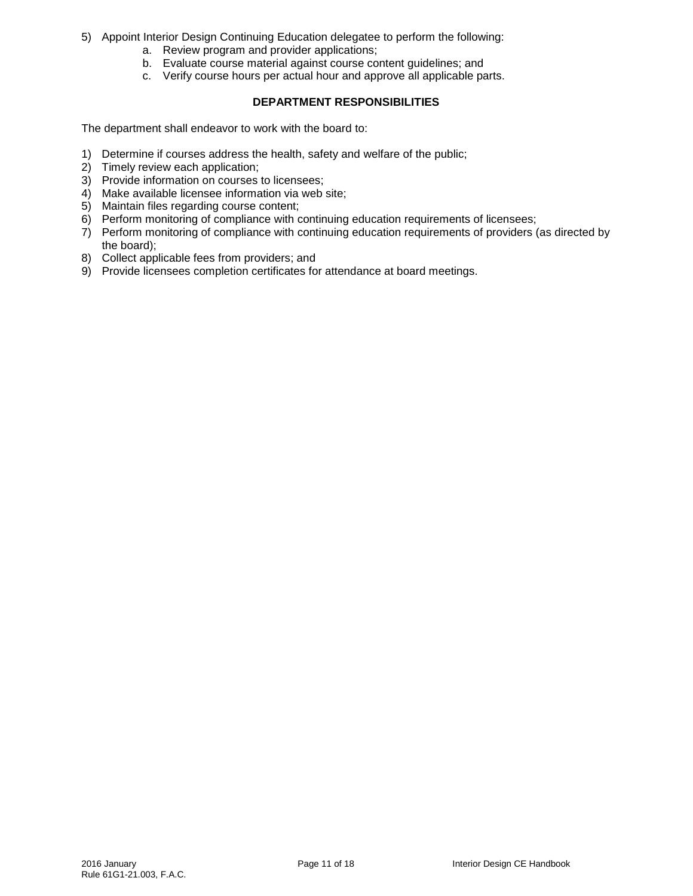- 5) Appoint Interior Design Continuing Education delegatee to perform the following:
	- a. Review program and provider applications;
	- b. Evaluate course material against course content guidelines; and
	- c. Verify course hours per actual hour and approve all applicable parts.

## **DEPARTMENT RESPONSIBILITIES**

The department shall endeavor to work with the board to:

- 1) Determine if courses address the health, safety and welfare of the public;
- 2) Timely review each application;
- 3) Provide information on courses to licensees;
- 4) Make available licensee information via web site;
- 5) Maintain files regarding course content;
- 6) Perform monitoring of compliance with continuing education requirements of licensees;
- 7) Perform monitoring of compliance with continuing education requirements of providers (as directed by the board);
- 8) Collect applicable fees from providers; and
- 9) Provide licensees completion certificates for attendance at board meetings.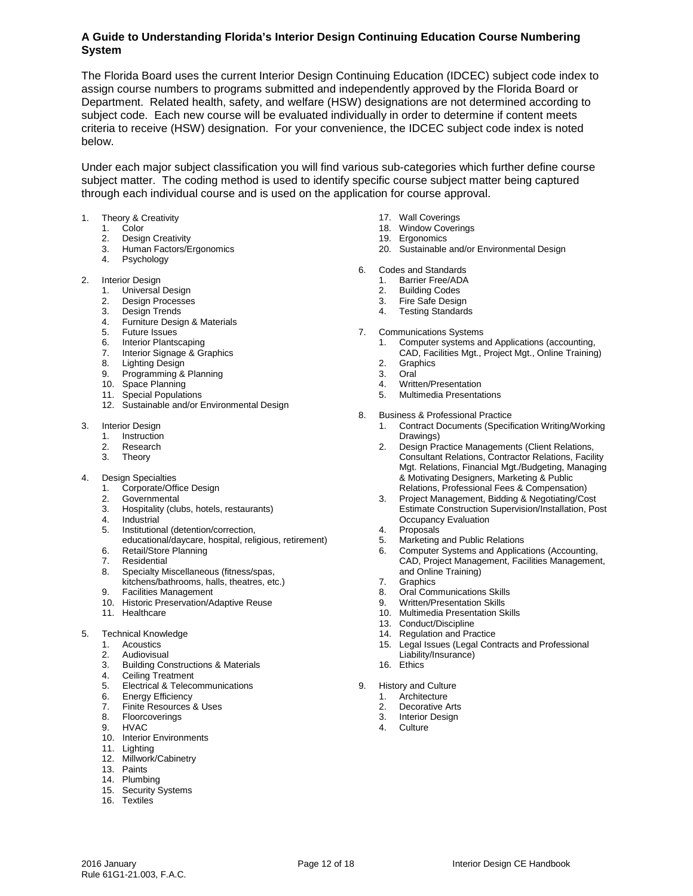## **A Guide to Understanding Florida's Interior Design Continuing Education Course Numbering System**

The Florida Board uses the current Interior Design Continuing Education (IDCEC) subject code index to assign course numbers to programs submitted and independently approved by the Florida Board or Department. Related health, safety, and welfare (HSW) designations are not determined according to subject code. Each new course will be evaluated individually in order to determine if content meets criteria to receive (HSW) designation. For your convenience, the IDCEC subject code index is noted below.

Under each major subject classification you will find various sub-categories which further define course subject matter. The coding method is used to identify specific course subject matter being captured through each individual course and is used on the application for course approval.

- 1. Theory & Creativity
	- 1. Color
	- 2. Design Creativity
	- 3. Human Factors/Ergonomics
	- 4. Psychology

#### 2. Interior Design

- 1. Universal Design
- 2. Design Processes
- 3. Design Trends
- 4. Furniture Design & Materials
- 5. Future Issues
- 6. Interior Plantscaping
- 7. Interior Signage & Graphics
- 8. Lighting Design
- 9. Programming & Planning
- 10. Space Planning
- 11. Special Populations
- 12. Sustainable and/or Environmental Design
- 3. Interior Design
	- 1. Instruction
	- 2. Research
	- 3. Theory
- 4. Design Specialties
	- 1. Corporate/Office Design
	- 2. Governmental
	- 3. Hospitality (clubs, hotels, restaurants)
	- 4. Industrial
	- 5. Institutional (detention/correction,
	- educational/daycare, hospital, religious, retirement) 6. Retail/Store Planning<br>7. Residential
	- 7. Residential
	- 8. Specialty Miscellaneous (fitness/spas,
	- kitchens/bathrooms, halls, theatres, etc.) 9. Facilities Management
	- 9. Facilities Ivianagement<br>10. Historic Preservation/Adaptive Reuse
	- 11. Healthcare
- 5. Technical Knowledge
	- 1. Acoustics
	- 2. Audiovisual
	- 3. Building Constructions & Materials
	- 4. Ceiling Treatment
	- 5. Electrical & Telecommunications
	- 6. Energy Efficiency
	- 7. Finite Resources & Uses
	- 8. Floorcoverings
	- 9. HVAC
	- 10. Interior Environments
	- 11. Lighting
	- 12. Millwork/Cabinetry
	- 13. Paints
	- 14. Plumbing
	- 15. Security Systems
	- 16. Textiles
- 17. Wall Coverings
- 18. Window Coverings
- 19. Ergonomics
- 20. Sustainable and/or Environmental Design
- 6. Codes and Standards
	- 1. Barrier Free/ADA
	- 2. Building Codes
	- 3. Fire Safe Design
	- 4. Testing Standards
- 7. Communications Systems
	- 1. Computer systems and Applications (accounting,
		- CAD, Facilities Mgt., Project Mgt., Online Training)
	- 2. Graphics<br>3 Oral
	- 3.
	- 4. Written/Presentation<br>5. Multimedia Presentation
	- 5. Multimedia Presentations
- 8. Business & Professional Practice
	- 1. Contract Documents (Specification Writing/Working Drawings)
	- 2. Design Practice Managements (Client Relations, Consultant Relations, Contractor Relations, Facility Mgt. Relations, Financial Mgt./Budgeting, Managing & Motivating Designers, Marketing & Public Relations, Professional Fees & Compensation)
	- 3. Project Management, Bidding & Negotiating/Cost Estimate Construction Supervision/Installation, Post Occupancy Evaluation
	- 4. Proposals
	- 5. Marketing and Public Relations
	- 6. Computer Systems and Applications (Accounting, CAD, Project Management, Facilities Management, and Online Training)
	- 7. Graphics
	- 8. Oral Communications Skills<br>9. Written/Presentation Skills
	- Written/Presentation Skills
	- 10. Multimedia Presentation Skills
	- 13. Conduct/Discipline
	- 14. Regulation and Practice
	- 15. Legal Issues (Legal Contracts and Professional Liability/Insurance)
	- 16. Ethics
- 9. History and Culture
	- 1. Architecture<br>2. Decorative A
	- 2. Decorative Arts<br>3. Interior Design<br>4. Culture
	- Interior Design
	- **Culture**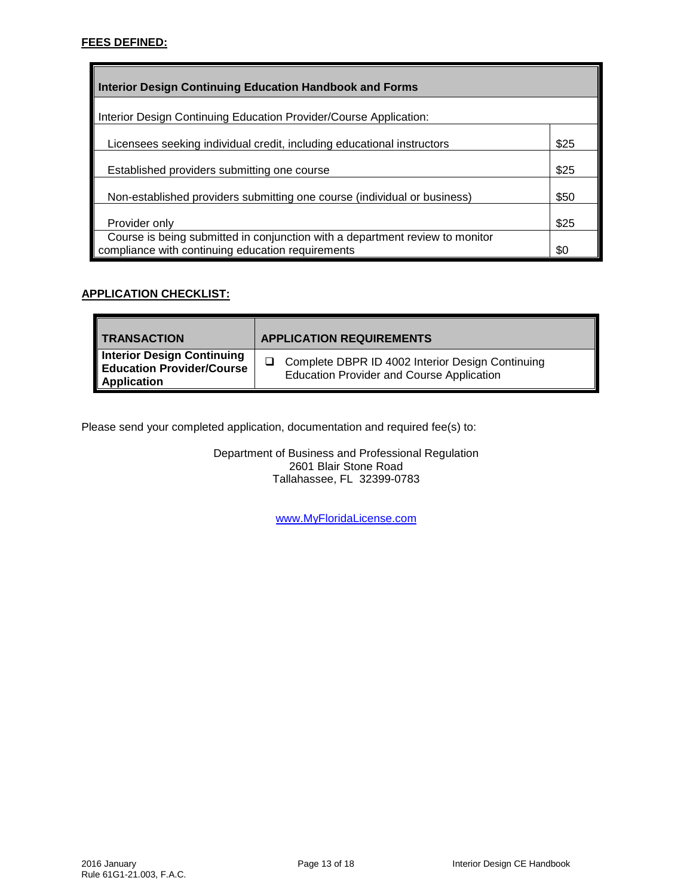## **FEES DEFINED:**

| <b>Interior Design Continuing Education Handbook and Forms</b>                                                                    |      |  |  |  |  |
|-----------------------------------------------------------------------------------------------------------------------------------|------|--|--|--|--|
| Interior Design Continuing Education Provider/Course Application:                                                                 |      |  |  |  |  |
| Licensees seeking individual credit, including educational instructors                                                            | \$25 |  |  |  |  |
| Established providers submitting one course                                                                                       | \$25 |  |  |  |  |
| Non-established providers submitting one course (individual or business)                                                          | \$50 |  |  |  |  |
| Provider only                                                                                                                     | \$25 |  |  |  |  |
| Course is being submitted in conjunction with a department review to monitor<br>compliance with continuing education requirements | \$0  |  |  |  |  |

## **APPLICATION CHECKLIST:**

| <b>TRANSACTION</b>                                              | <b>APPLICATION REQUIREMENTS</b>                  |
|-----------------------------------------------------------------|--------------------------------------------------|
| <b>Interior Design Continuing<br/>Education Provider/Course</b> | Complete DBPR ID 4002 Interior Design Continuing |
| <b>Application</b>                                              | <b>Education Provider and Course Application</b> |

Please send your completed application, documentation and required fee(s) to:

Department of Business and Professional Regulation 2601 Blair Stone Road Tallahassee, FL 32399-0783

[www.MyFloridaLicense.com](http://www.myfloridalicense.com/)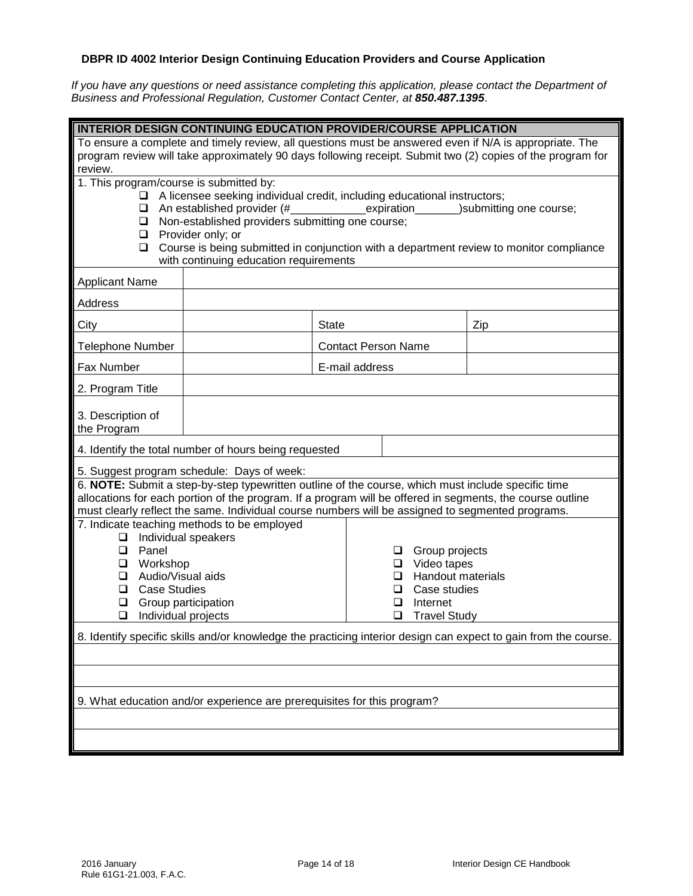# **DBPR ID 4002 Interior Design Continuing Education Providers and Course Application**

*If you have any questions or need assistance completing this application, please contact the Department of Business and Professional Regulation, Customer Contact Center, at 850.487.1395*.

| <b>INTERIOR DESIGN CONTINUING EDUCATION PROVIDER/COURSE APPLICATION</b>                                                                                                                                                                                                                                                                                                                                                                             |                                                       |                            |  |     |  |
|-----------------------------------------------------------------------------------------------------------------------------------------------------------------------------------------------------------------------------------------------------------------------------------------------------------------------------------------------------------------------------------------------------------------------------------------------------|-------------------------------------------------------|----------------------------|--|-----|--|
| To ensure a complete and timely review, all questions must be answered even if N/A is appropriate. The<br>program review will take approximately 90 days following receipt. Submit two (2) copies of the program for<br>review.                                                                                                                                                                                                                     |                                                       |                            |  |     |  |
| 1. This program/course is submitted by:<br>$\Box$ A licensee seeking individual credit, including educational instructors;<br>$\Box$ An established provider (#<br>expiration______<br>_)submitting one course;<br>Non-established providers submitting one course;<br>$\Box$<br>$\Box$ Provider only; or<br>Course is being submitted in conjunction with a department review to monitor compliance<br>❏<br>with continuing education requirements |                                                       |                            |  |     |  |
| <b>Applicant Name</b>                                                                                                                                                                                                                                                                                                                                                                                                                               |                                                       |                            |  |     |  |
| Address                                                                                                                                                                                                                                                                                                                                                                                                                                             |                                                       |                            |  |     |  |
| City                                                                                                                                                                                                                                                                                                                                                                                                                                                |                                                       | <b>State</b>               |  | Zip |  |
| <b>Telephone Number</b>                                                                                                                                                                                                                                                                                                                                                                                                                             |                                                       | <b>Contact Person Name</b> |  |     |  |
| <b>Fax Number</b>                                                                                                                                                                                                                                                                                                                                                                                                                                   |                                                       | E-mail address             |  |     |  |
| 2. Program Title                                                                                                                                                                                                                                                                                                                                                                                                                                    |                                                       |                            |  |     |  |
| 3. Description of<br>the Program                                                                                                                                                                                                                                                                                                                                                                                                                    |                                                       |                            |  |     |  |
|                                                                                                                                                                                                                                                                                                                                                                                                                                                     | 4. Identify the total number of hours being requested |                            |  |     |  |
| 5. Suggest program schedule: Days of week:<br>6. NOTE: Submit a step-by-step typewritten outline of the course, which must include specific time<br>allocations for each portion of the program. If a program will be offered in segments, the course outline<br>must clearly reflect the same. Individual course numbers will be assigned to segmented programs.                                                                                   |                                                       |                            |  |     |  |
| 7. Indicate teaching methods to be employed<br>Individual speakers<br>❏<br>Panel<br>Group projects<br>$\Box$<br>❏<br>Video tapes<br>Workshop<br>$\Box$<br>$\Box$<br>Audio/Visual aids<br><b>Handout materials</b><br>❏<br><b>Case Studies</b><br>Case studies<br>❏<br>⊔<br>Group participation<br>Internet<br>❏<br>ப<br>Individual projects<br>$\Box$<br><b>Travel Study</b><br>$\Box$                                                              |                                                       |                            |  |     |  |
| 8. Identify specific skills and/or knowledge the practicing interior design can expect to gain from the course.                                                                                                                                                                                                                                                                                                                                     |                                                       |                            |  |     |  |
|                                                                                                                                                                                                                                                                                                                                                                                                                                                     |                                                       |                            |  |     |  |
|                                                                                                                                                                                                                                                                                                                                                                                                                                                     |                                                       |                            |  |     |  |
| 9. What education and/or experience are prerequisites for this program?                                                                                                                                                                                                                                                                                                                                                                             |                                                       |                            |  |     |  |
|                                                                                                                                                                                                                                                                                                                                                                                                                                                     |                                                       |                            |  |     |  |
|                                                                                                                                                                                                                                                                                                                                                                                                                                                     |                                                       |                            |  |     |  |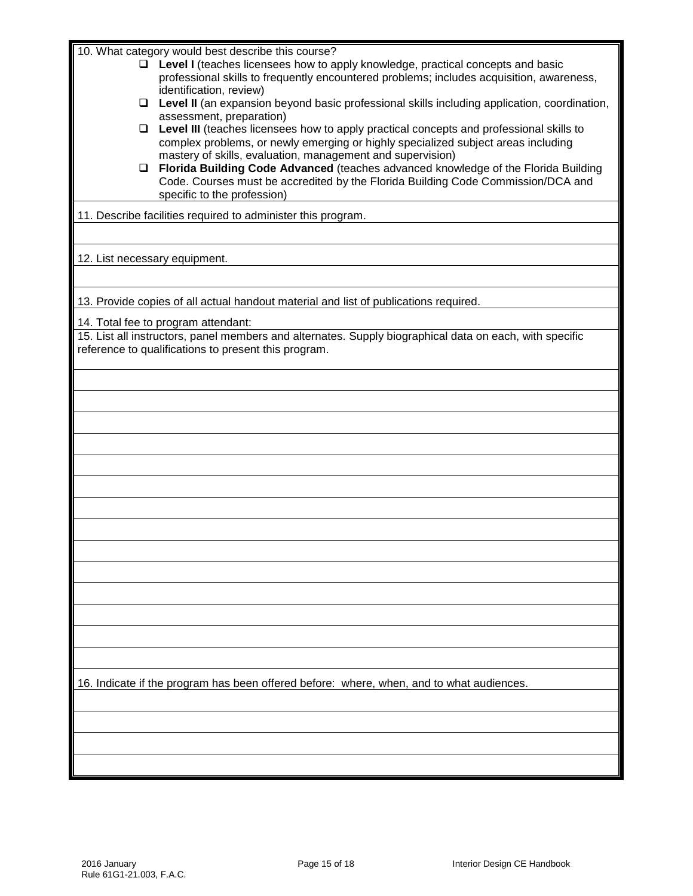10. What category would best describe this course?

- **Level I** (teaches licensees how to apply knowledge, practical concepts and basic professional skills to frequently encountered problems; includes acquisition, awareness, identification, review)
- **Level II** (an expansion beyond basic professional skills including application, coordination, assessment, preparation)
- **Level III** (teaches licensees how to apply practical concepts and professional skills to complex problems, or newly emerging or highly specialized subject areas including mastery of skills, evaluation, management and supervision)
- **Florida Building Code Advanced** (teaches advanced knowledge of the Florida Building Code. Courses must be accredited by the Florida Building Code Commission/DCA and specific to the profession)

11. Describe facilities required to administer this program.

## 12. List necessary equipment.

13. Provide copies of all actual handout material and list of publications required.

14. Total fee to program attendant:

15. List all instructors, panel members and alternates. Supply biographical data on each, with specific reference to qualifications to present this program.

16. Indicate if the program has been offered before: where, when, and to what audiences.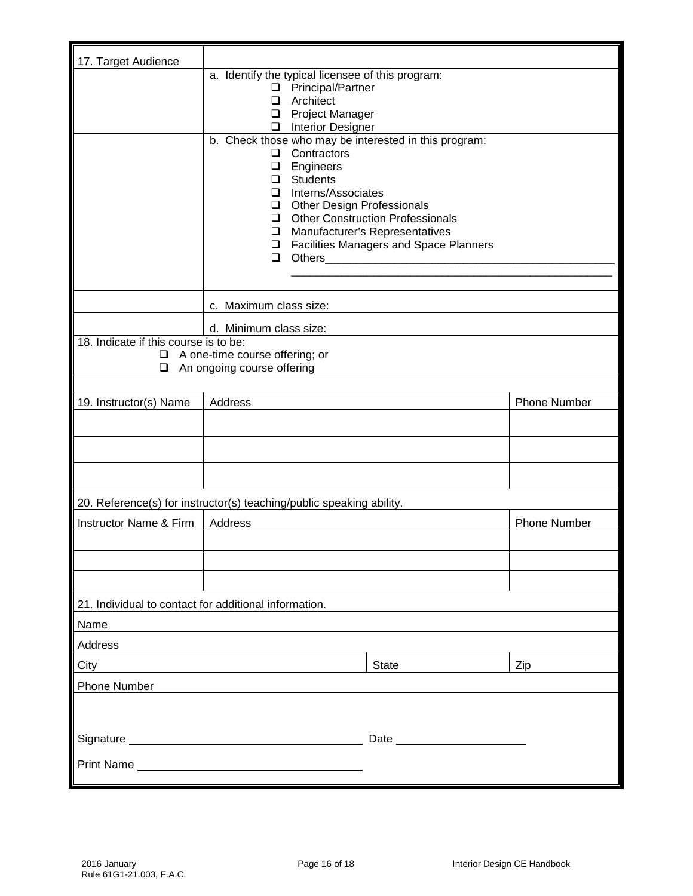| 17. Target Audience                                   | a. Identify the typical licensee of this program:                                                                                        |                     |  |  |  |  |  |  |
|-------------------------------------------------------|------------------------------------------------------------------------------------------------------------------------------------------|---------------------|--|--|--|--|--|--|
|                                                       | □ Principal/Partner                                                                                                                      |                     |  |  |  |  |  |  |
|                                                       | Architect<br>□                                                                                                                           |                     |  |  |  |  |  |  |
|                                                       | <b>Project Manager</b><br>❏                                                                                                              |                     |  |  |  |  |  |  |
|                                                       | Interior Designer<br>b. Check those who may be interested in this program:                                                               |                     |  |  |  |  |  |  |
|                                                       | Contractors<br>◻                                                                                                                         |                     |  |  |  |  |  |  |
|                                                       | $\Box$<br>Engineers                                                                                                                      |                     |  |  |  |  |  |  |
|                                                       | <b>Students</b><br>$\Box$<br>Interns/Associates<br>$\Box$                                                                                |                     |  |  |  |  |  |  |
|                                                       | Other Design Professionals                                                                                                               |                     |  |  |  |  |  |  |
|                                                       | □ Other Construction Professionals                                                                                                       |                     |  |  |  |  |  |  |
|                                                       | □ Manufacturer's Representatives                                                                                                         |                     |  |  |  |  |  |  |
|                                                       | □ Facilities Managers and Space Planners<br>Others <b>Communicate Communicate Communicate Communicate Communicate Communication</b><br>◻ |                     |  |  |  |  |  |  |
|                                                       |                                                                                                                                          |                     |  |  |  |  |  |  |
|                                                       |                                                                                                                                          |                     |  |  |  |  |  |  |
|                                                       | c. Maximum class size:                                                                                                                   |                     |  |  |  |  |  |  |
|                                                       | d. Minimum class size:                                                                                                                   |                     |  |  |  |  |  |  |
| 18. Indicate if this course is to be:                 |                                                                                                                                          |                     |  |  |  |  |  |  |
| ⊔                                                     | A one-time course offering; or                                                                                                           |                     |  |  |  |  |  |  |
| ❏                                                     | An ongoing course offering                                                                                                               |                     |  |  |  |  |  |  |
|                                                       |                                                                                                                                          |                     |  |  |  |  |  |  |
| 19. Instructor(s) Name                                | Address                                                                                                                                  | <b>Phone Number</b> |  |  |  |  |  |  |
|                                                       |                                                                                                                                          |                     |  |  |  |  |  |  |
|                                                       |                                                                                                                                          |                     |  |  |  |  |  |  |
|                                                       |                                                                                                                                          |                     |  |  |  |  |  |  |
|                                                       |                                                                                                                                          |                     |  |  |  |  |  |  |
|                                                       | 20. Reference(s) for instructor(s) teaching/public speaking ability.                                                                     |                     |  |  |  |  |  |  |
| <b>Instructor Name &amp; Firm</b>                     | Address                                                                                                                                  | <b>Phone Number</b> |  |  |  |  |  |  |
|                                                       |                                                                                                                                          |                     |  |  |  |  |  |  |
|                                                       |                                                                                                                                          |                     |  |  |  |  |  |  |
|                                                       |                                                                                                                                          |                     |  |  |  |  |  |  |
| 21. Individual to contact for additional information. |                                                                                                                                          |                     |  |  |  |  |  |  |
| Name                                                  |                                                                                                                                          |                     |  |  |  |  |  |  |
| Address                                               |                                                                                                                                          |                     |  |  |  |  |  |  |
| City                                                  | State                                                                                                                                    | Zip                 |  |  |  |  |  |  |
| <b>Phone Number</b>                                   |                                                                                                                                          |                     |  |  |  |  |  |  |
|                                                       |                                                                                                                                          |                     |  |  |  |  |  |  |
|                                                       |                                                                                                                                          |                     |  |  |  |  |  |  |
|                                                       |                                                                                                                                          |                     |  |  |  |  |  |  |
|                                                       |                                                                                                                                          |                     |  |  |  |  |  |  |
|                                                       |                                                                                                                                          |                     |  |  |  |  |  |  |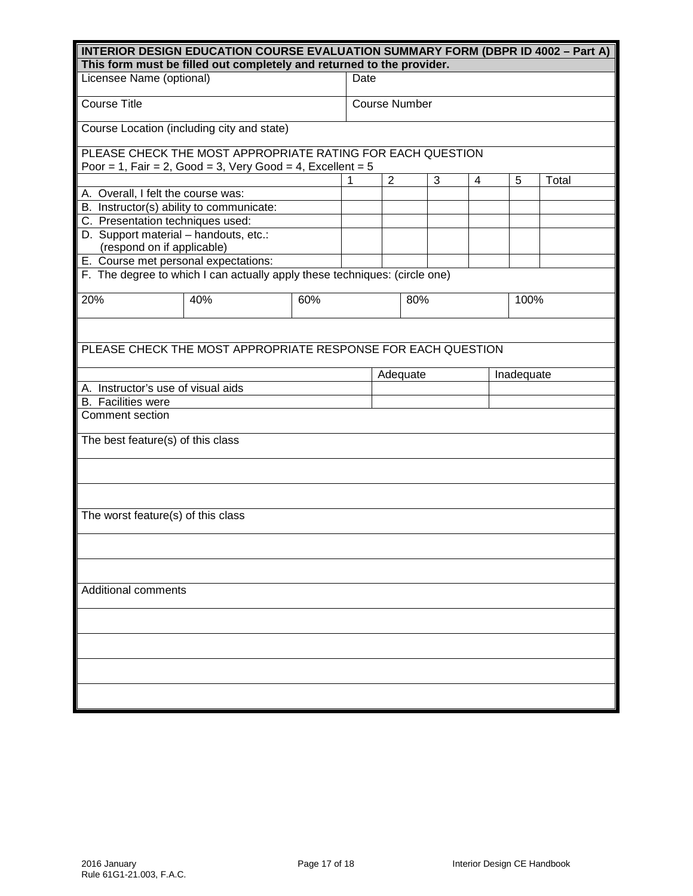| <b>INTERIOR DESIGN EDUCATION COURSE EVALUATION SUMMARY FORM (DBPR ID 4002 – Part A)</b><br>This form must be filled out completely and returned to the provider. |                                                                            |     |                      |                |     |   |   |  |            |  |  |
|------------------------------------------------------------------------------------------------------------------------------------------------------------------|----------------------------------------------------------------------------|-----|----------------------|----------------|-----|---|---|--|------------|--|--|
| Licensee Name (optional)                                                                                                                                         |                                                                            |     | Date                 |                |     |   |   |  |            |  |  |
|                                                                                                                                                                  |                                                                            |     |                      |                |     |   |   |  |            |  |  |
| <b>Course Title</b>                                                                                                                                              |                                                                            |     | <b>Course Number</b> |                |     |   |   |  |            |  |  |
|                                                                                                                                                                  | Course Location (including city and state)                                 |     |                      |                |     |   |   |  |            |  |  |
|                                                                                                                                                                  | PLEASE CHECK THE MOST APPROPRIATE RATING FOR EACH QUESTION                 |     |                      |                |     |   |   |  |            |  |  |
|                                                                                                                                                                  | Poor = 1, Fair = 2, Good = 3, Very Good = 4, Excellent = $5$               |     | 1                    | $\overline{2}$ |     | 3 | 4 |  |            |  |  |
| A. Overall, I felt the course was:                                                                                                                               |                                                                            |     |                      |                |     |   |   |  | 5<br>Total |  |  |
| B. Instructor(s) ability to communicate:                                                                                                                         |                                                                            |     |                      |                |     |   |   |  |            |  |  |
| C. Presentation techniques used:                                                                                                                                 |                                                                            |     |                      |                |     |   |   |  |            |  |  |
| D. Support material - handouts, etc.:                                                                                                                            |                                                                            |     |                      |                |     |   |   |  |            |  |  |
| (respond on if applicable)                                                                                                                                       |                                                                            |     |                      |                |     |   |   |  |            |  |  |
| E. Course met personal expectations:                                                                                                                             |                                                                            |     |                      |                |     |   |   |  |            |  |  |
|                                                                                                                                                                  | F. The degree to which I can actually apply these techniques: (circle one) |     |                      |                |     |   |   |  |            |  |  |
|                                                                                                                                                                  |                                                                            |     |                      |                |     |   |   |  |            |  |  |
| 20%                                                                                                                                                              | 40%                                                                        | 60% |                      |                | 80% |   |   |  | 100%       |  |  |
|                                                                                                                                                                  |                                                                            |     |                      |                |     |   |   |  |            |  |  |
|                                                                                                                                                                  |                                                                            |     |                      |                |     |   |   |  |            |  |  |
|                                                                                                                                                                  | PLEASE CHECK THE MOST APPROPRIATE RESPONSE FOR EACH QUESTION               |     |                      |                |     |   |   |  |            |  |  |
|                                                                                                                                                                  |                                                                            |     | Adequate             |                |     |   |   |  | Inadequate |  |  |
| A. Instructor's use of visual aids                                                                                                                               |                                                                            |     |                      |                |     |   |   |  |            |  |  |
| <b>B.</b> Facilities were                                                                                                                                        |                                                                            |     |                      |                |     |   |   |  |            |  |  |
| Comment section                                                                                                                                                  |                                                                            |     |                      |                |     |   |   |  |            |  |  |
| The best feature(s) of this class                                                                                                                                |                                                                            |     |                      |                |     |   |   |  |            |  |  |
|                                                                                                                                                                  |                                                                            |     |                      |                |     |   |   |  |            |  |  |
|                                                                                                                                                                  |                                                                            |     |                      |                |     |   |   |  |            |  |  |
|                                                                                                                                                                  |                                                                            |     |                      |                |     |   |   |  |            |  |  |
| The worst feature(s) of this class                                                                                                                               |                                                                            |     |                      |                |     |   |   |  |            |  |  |
|                                                                                                                                                                  |                                                                            |     |                      |                |     |   |   |  |            |  |  |
|                                                                                                                                                                  |                                                                            |     |                      |                |     |   |   |  |            |  |  |
| <b>Additional comments</b>                                                                                                                                       |                                                                            |     |                      |                |     |   |   |  |            |  |  |
|                                                                                                                                                                  |                                                                            |     |                      |                |     |   |   |  |            |  |  |
|                                                                                                                                                                  |                                                                            |     |                      |                |     |   |   |  |            |  |  |
|                                                                                                                                                                  |                                                                            |     |                      |                |     |   |   |  |            |  |  |
|                                                                                                                                                                  |                                                                            |     |                      |                |     |   |   |  |            |  |  |
|                                                                                                                                                                  |                                                                            |     |                      |                |     |   |   |  |            |  |  |
|                                                                                                                                                                  |                                                                            |     |                      |                |     |   |   |  |            |  |  |